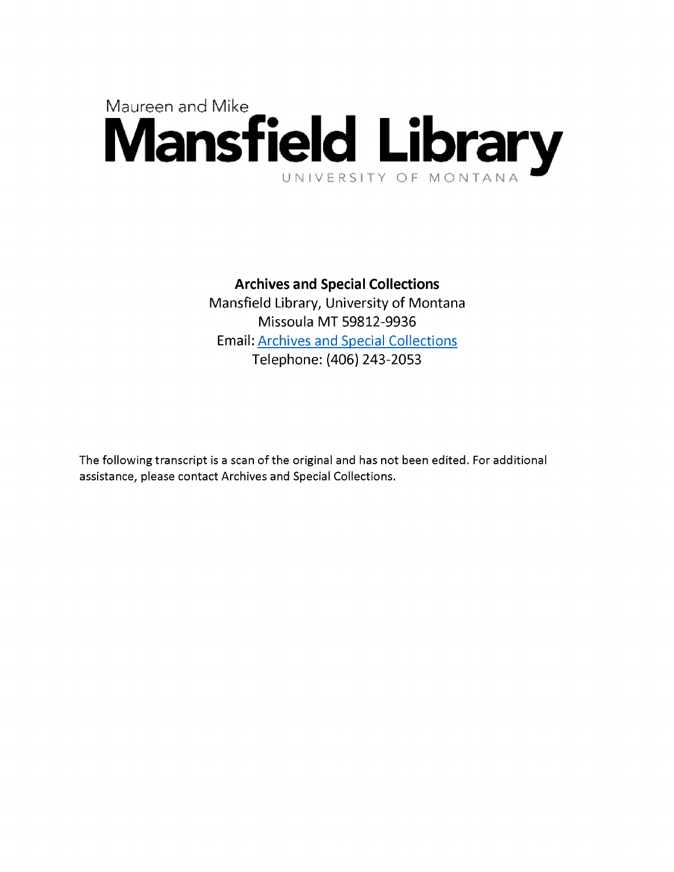

## **Archives and Special Collections**

Mansfield Library, University of Montana Missoula MT 59812-9936 Email: Archives and Special Collections Telephone: (406) 243-2053

The following transcript is a scan of the original and has not been edited. For additional assistance, please contact Archives and Special Collections.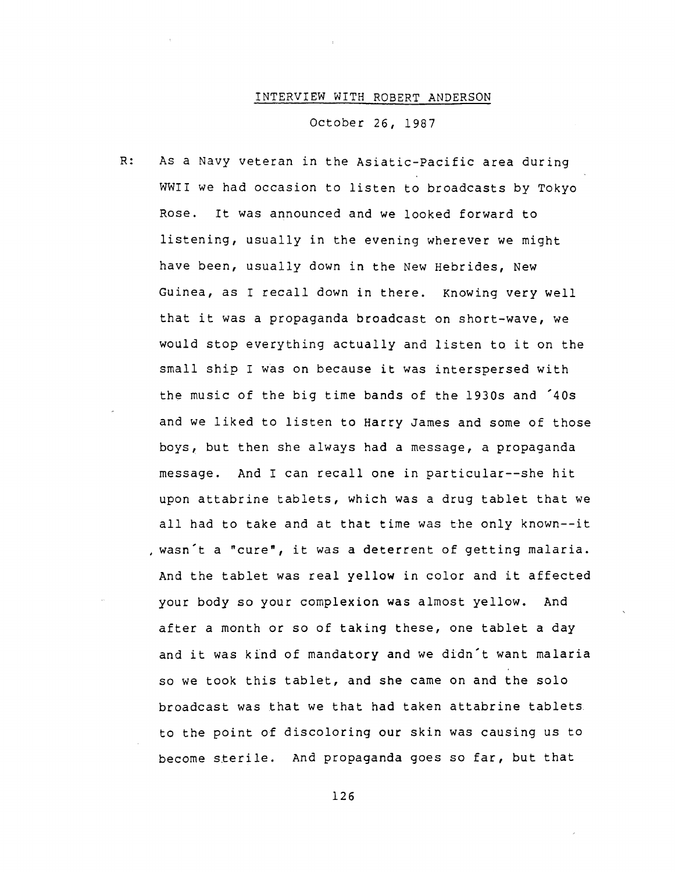## INTERVIEW WITH ROBERT ANDERSON

October 26, 1987

 $R:$ As a Navy veteran in the Asiatic-Pacific area during WWII we had occasion to listen to broadcasts by Tokyo Rose. It was announced and we looked forward to listening, usually in the evening wherever we might have been, usually down in the New Hebrides, New Guinea, as I recall down in there. Knowing very well that it was a propaganda broadcast on short-wave, we would stop everything actually and listen to it on the small ship I was on because it was interspersed with the music of the big time bands of the 1930s and '40s and we liked to listen to Harry James and some of those boys, but then she always had a message, a propaganda message. And I can recall one in particular— she hit upon attabrine tablets, which was a drug tablet that we all had to take and at that time was the only known— it , wasn't a "cure", it was a deterrent of getting malaria. And the tablet was real yellow in color and it affected your body so your complexion was almost yellow. And after a month or so of taking these, one tablet a day and it was kind of mandatory and we didn't want malaria so we took this tablet, and she came on and the solo broadcast was that we that had taken attabrine tablets to the point of discoloring our skin was causing us to become sterile. And propaganda goes so far, but that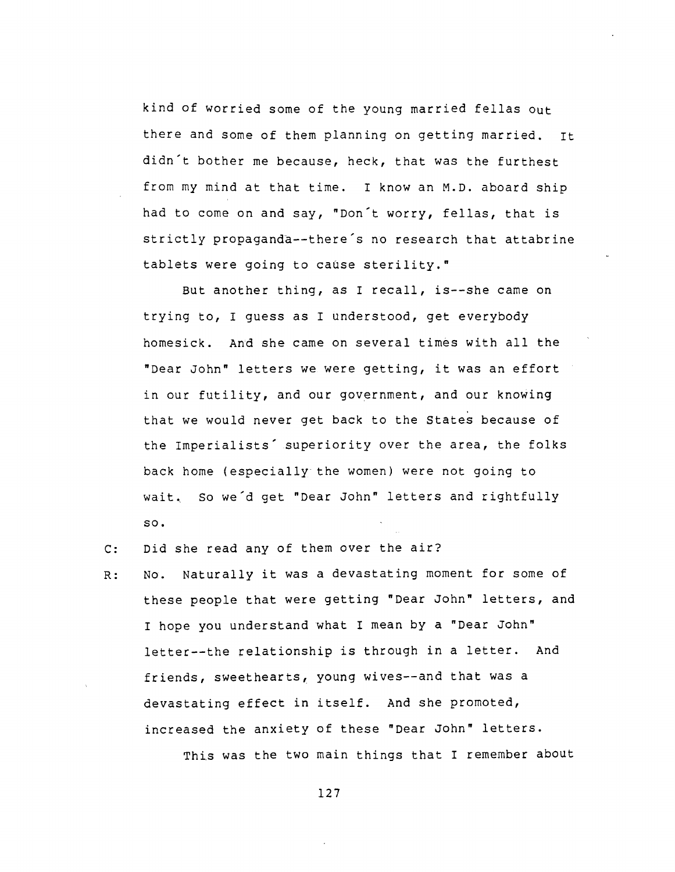kind of worried some of the young married fellas out there and some of them planning on getting married. it didn't bother me because, heck, that was the furthest from my mind at that time. I know an M.D. aboard ship had to come on and say, "Don't worry, fellas, that is strictly propaganda— there's no research that attabrine tablets were going to cause sterility."

But another thing, as I recall, is--she came on trying to, I guess as I understood, get everybody homesick. And she came on several times with all the "Dear John" letters we were getting, it was an effort in our futility, and our government, and our knowing that we would never get back to the States because of the Imperialists' superiority over the area, the folks back home (especially the women) were not going to wait. So we'd get "Dear John" letters and rightfully **so**.

- Did she read any of them over the air?  $C:$
- No. Naturally it was a devastating moment for some of  $R:$ these people that were getting "Dear John" letters, and I hope you understand what I mean by a "Dear John" letter— the relationship is through in a letter. And friends, sweethearts, young wives--and that was a devastating effect in itself. And she promoted, increased the anxiety of these "Dear John" letters.

This was the two main things that I remember about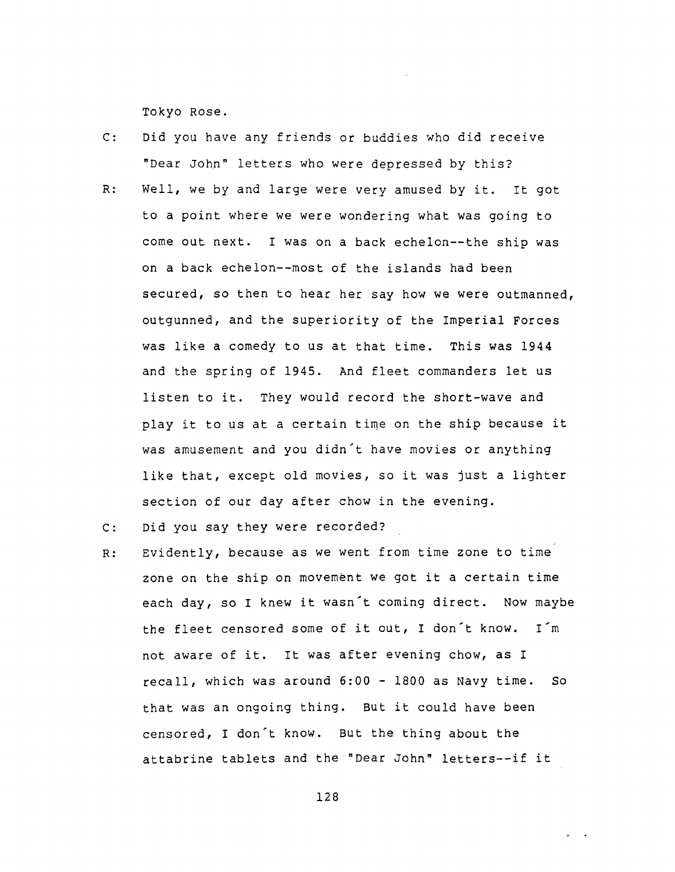Tokyo Rose.

- $\overline{C}$ : Did you have any friends or buddies who did receive "Dear John" letters who were depressed by this?
- $R:$ Well, we by and large were very amused by it. It got to a point where we were wondering what was going to come out next. I was on a back echelon— the ship was on a back echelon--most of the islands had been secured, so then to hear her say how we were outmanned, outgunned, and the superiority of the Imperial Forces was like a comedy to us at that time. This was 1944 and the spring of 1945. And fleet commanders let us listen to it. They would record the short-wave and play it to us at a certain time on the ship because it was amusement and you didn't have movies or anything like that, except old movies, so it was just a lighter section of our day after chow in the evening.
- Did you say they were recorded?  $C:$
- Evidently, because as we went from time zone to time  $R:$ zone on the ship on movement we got it a certain time each day, so I knew it wasn't coming direct. Now maybe the fleet censored some of it out, I don't know. I'm not aware of it. It was after evening chow, as I recall, which was around 6:00 - 1800 as Navy time. So that was an ongoing thing. But it could have been censored, I don't know. But the thing about the attabrine tablets and the "Dear John" letters— if it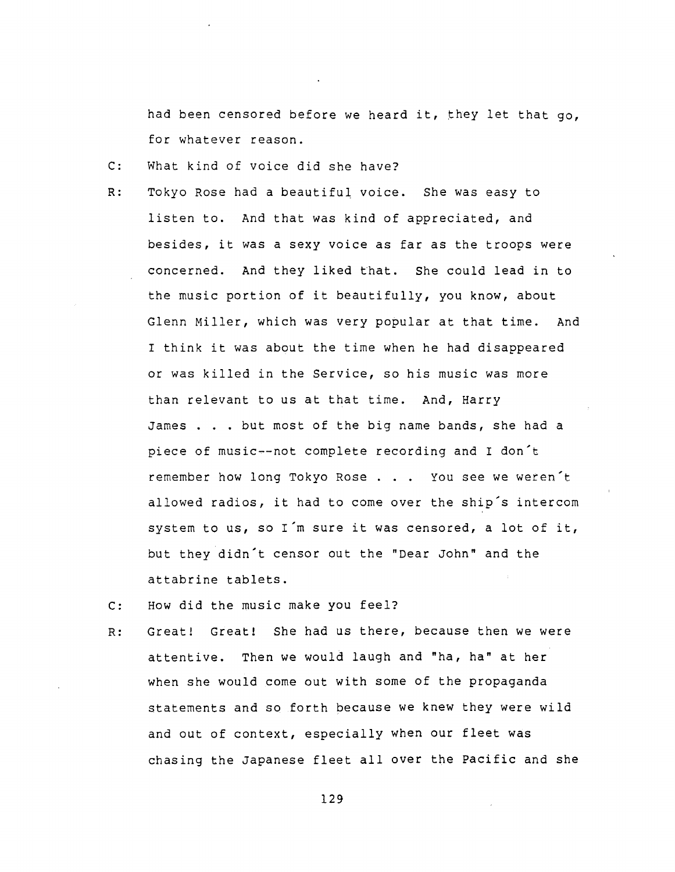had been censored before we heard it, they let that go, for whatever reason.

- C: What kind of voice did she have?
- R: Tokyo Rose had a beautiful voice. She was easy to listen to. And that was kind of appreciated, and besides, it was a sexy voice as far as the troops were concerned. And they liked that. She could lead in to the music portion of it beautifully, you know, about Glenn Miller, which was very popular at that time. And I think it was about the time when he had disappeared or was killed in the Service, so his music was more than relevant to us at that time. And, Harry James . . . but most of the big name bands, she had a piece of music -- not complete recording and I don't remember how long Tokyo Rose . . . You see we weren't allowed radios, it had to come over the ship's intercom system to us, so I'm sure it was censored, a lot of it, but they didn't censor out the "Dear John" and the attabrine tablets.
- C: How did the music make you feel?
- R: Great! Great! She had us there, because then we were attentive. Then we would laugh and "ha, ha" at her when she would come out with some of the propaganda statements and so forth because we knew they were wild and out of context, especially when our fleet was chasing the Japanese fleet all over the Pacific and she